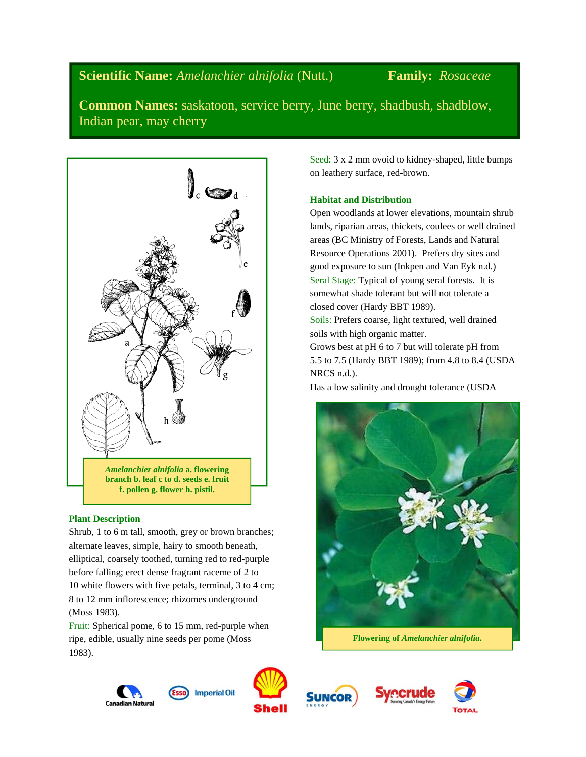# **Scientific Name:** *Amelanchier alnifolia* (Nutt.) **Family:** *Rosaceae*

**Common Names:** saskatoon, service berry, June berry, shadbush, shadblow, Indian pear, may cherry



# **Plant Description**

Shrub, 1 to 6 m tall, smooth, grey or brown branches; alternate leaves, simple, hairy to smooth beneath, elliptical, coarsely toothed, turning red to red-purple before falling; erect dense fragrant raceme of 2 to 10 white flowers with five petals, terminal, 3 to 4 cm; 8 to 12 mm inflorescence; rhizomes underground (Moss 1983).

Fruit: Spherical pome, 6 to 15 mm, red-purple when ripe, edible, usually nine seeds per pome (Moss 1983).

Seed: 3 x 2 mm ovoid to kidney-shaped, little bumps on leathery surface, red-brown.

# **Habitat and Distribution**

Open woodlands at lower elevations, mountain shrub lands, riparian areas, thickets, coulees or well drained areas (BC Ministry of Forests, Lands and Natural Resource Operations 2001). Prefers dry sites and good exposure to sun (Inkpen and Van Eyk n.d.) Seral Stage: Typical of young seral forests. It is somewhat shade tolerant but will not tolerate a closed cover (Hardy BBT 1989).

Soils: Prefers coarse, light textured, well drained soils with high organic matter.

Grows best at pH 6 to 7 but will tolerate pH from 5.5 to 7.5 (Hardy BBT 1989); from 4.8 to 8.4 (USDA NRCS n.d.).

Has a low salinity and drought tolerance (USDA



**Imperial Oil** 







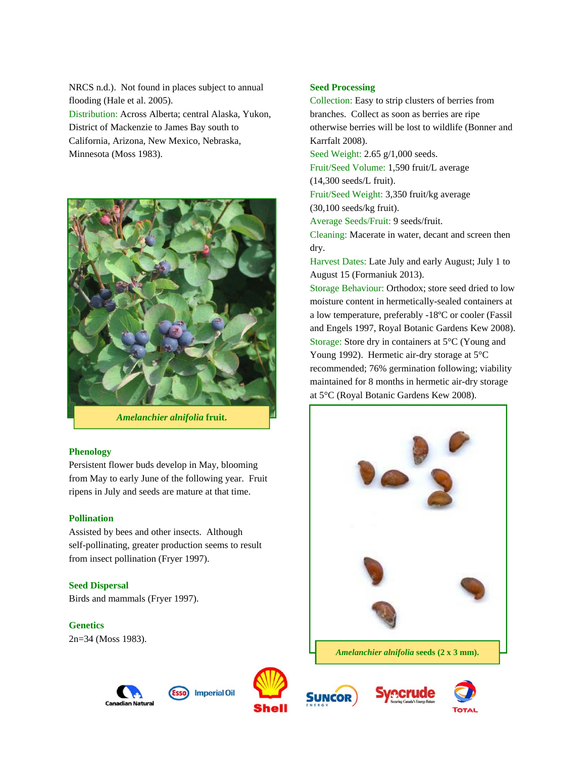NRCS n.d.). Not found in places subject to annual flooding (Hale et al. 2005).

Distribution: Across Alberta; central Alaska, Yukon, District of Mackenzie to James Bay south to California, Arizona, New Mexico, Nebraska, Minnesota (Moss 1983).



*Amelanchier alnifolia* **fruit.** 

# **Phenology**

Persistent flower buds develop in May, blooming from May to early June of the following year. Fruit ripens in July and seeds are mature at that time.

#### **Pollination**

Assisted by bees and other insects. Although self-pollinating, greater production seems to result from insect pollination (Fryer 1997).

### **Seed Dispersal**

Birds and mammals (Fryer 1997).

## **Genetics**

2n=34 (Moss 1983).

# **Seed Processing**

Collection: Easy to strip clusters of berries from branches. Collect as soon as berries are ripe otherwise berries will be lost to wildlife (Bonner and Karrfalt 2008).

Seed Weight: 2.65 g/1,000 seeds.

Fruit/Seed Volume: 1,590 fruit/L average

(14,300 seeds/L fruit).

Fruit/Seed Weight: 3,350 fruit/kg average (30,100 seeds/kg fruit).

Average Seeds/Fruit: 9 seeds/fruit.

Cleaning: Macerate in water, decant and screen then dry.

Harvest Dates: Late July and early August; July 1 to August 15 (Formaniuk 2013).

Storage Behaviour: Orthodox; store seed dried to low moisture content in hermetically-sealed containers at a low temperature, preferably -18ºC or cooler (Fassil and Engels 1997, Royal Botanic Gardens Kew 2008). Storage: Store dry in containers at 5°C (Young and Young 1992). Hermetic air-dry storage at 5°C recommended; 76% germination following; viability maintained for 8 months in hermetic air-dry storage at 5°C (Royal Botanic Gardens Kew 2008).











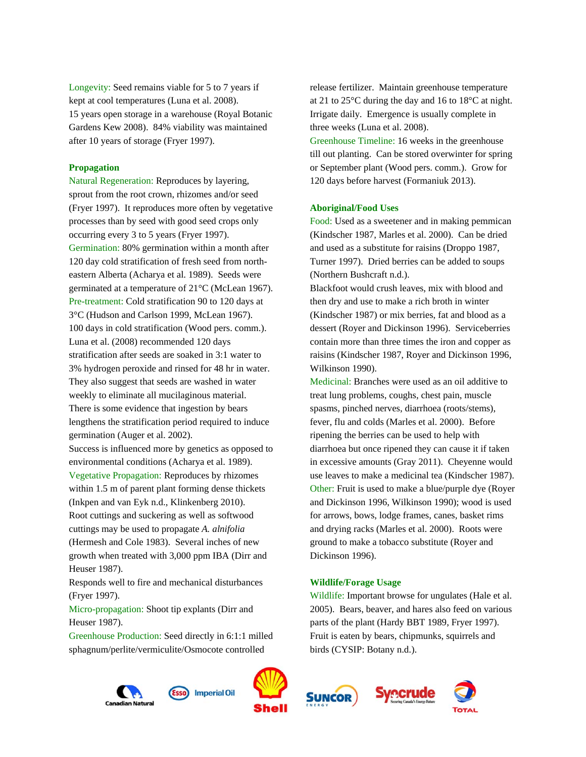Longevity: Seed remains viable for 5 to 7 years if kept at cool temperatures (Luna et al. 2008). 15 years open storage in a warehouse (Royal Botanic Gardens Kew 2008). 84% viability was maintained after 10 years of storage (Fryer 1997).

## **Propagation**

Natural Regeneration: Reproduces by layering, sprout from the root crown, rhizomes and/or seed (Fryer 1997). It reproduces more often by vegetative processes than by seed with good seed crops only occurring every 3 to 5 years (Fryer 1997). Germination: 80% germination within a month after 120 day cold stratification of fresh seed from northeastern Alberta (Acharya et al. 1989). Seeds were germinated at a temperature of 21°C (McLean 1967). Pre-treatment: Cold stratification 90 to 120 days at 3°C (Hudson and Carlson 1999, McLean 1967). 100 days in cold stratification (Wood pers. comm.). Luna et al. (2008) recommended 120 days stratification after seeds are soaked in 3:1 water to 3% hydrogen peroxide and rinsed for 48 hr in water. They also suggest that seeds are washed in water weekly to eliminate all mucilaginous material. There is some evidence that ingestion by bears lengthens the stratification period required to induce germination (Auger et al. 2002). Success is influenced more by genetics as opposed to environmental conditions (Acharya et al. 1989).

Vegetative Propagation: Reproduces by rhizomes within 1.5 m of parent plant forming dense thickets (Inkpen and van Eyk n.d., Klinkenberg 2010). Root cuttings and suckering as well as softwood cuttings may be used to propagate *A. alnifolia*  (Hermesh and Cole 1983). Several inches of new growth when treated with 3,000 ppm IBA (Dirr and Heuser 1987).

Responds well to fire and mechanical disturbances (Fryer 1997).

Micro-propagation: Shoot tip explants (Dirr and Heuser 1987).

Greenhouse Production: Seed directly in 6:1:1 milled sphagnum/perlite/vermiculite/Osmocote controlled

> **Imperial Oil Canadian Natura**



release fertilizer. Maintain greenhouse temperature at 21 to 25°C during the day and 16 to 18°C at night. Irrigate daily. Emergence is usually complete in three weeks (Luna et al. 2008).

Greenhouse Timeline: 16 weeks in the greenhouse till out planting. Can be stored overwinter for spring or September plant (Wood pers. comm.). Grow for 120 days before harvest (Formaniuk 2013).

#### **Aboriginal/Food Uses**

Food: Used as a sweetener and in making pemmican (Kindscher 1987, Marles et al. 2000). Can be dried and used as a substitute for raisins (Droppo 1987, Turner 1997). Dried berries can be added to soups (Northern Bushcraft n.d.).

Blackfoot would crush leaves, mix with blood and then dry and use to make a rich broth in winter (Kindscher 1987) or mix berries, fat and blood as a dessert (Royer and Dickinson 1996). Serviceberries contain more than three times the iron and copper as raisins (Kindscher 1987, Royer and Dickinson 1996, Wilkinson 1990).

Medicinal: Branches were used as an oil additive to treat lung problems, coughs, chest pain, muscle spasms, pinched nerves, diarrhoea (roots/stems), fever, flu and colds (Marles et al. 2000). Before ripening the berries can be used to help with diarrhoea but once ripened they can cause it if taken in excessive amounts (Gray 2011). Cheyenne would use leaves to make a medicinal tea (Kindscher 1987). Other: Fruit is used to make a blue/purple dye (Royer and Dickinson 1996, Wilkinson 1990); wood is used for arrows, bows, lodge frames, canes, basket rims and drying racks (Marles et al. 2000). Roots were ground to make a tobacco substitute (Royer and Dickinson 1996).

#### **Wildlife/Forage Usage**

Wildlife: Important browse for ungulates (Hale et al. 2005). Bears, beaver, and hares also feed on various parts of the plant (Hardy BBT 1989, Fryer 1997). Fruit is eaten by bears, chipmunks, squirrels and birds (CYSIP: Botany n.d.).





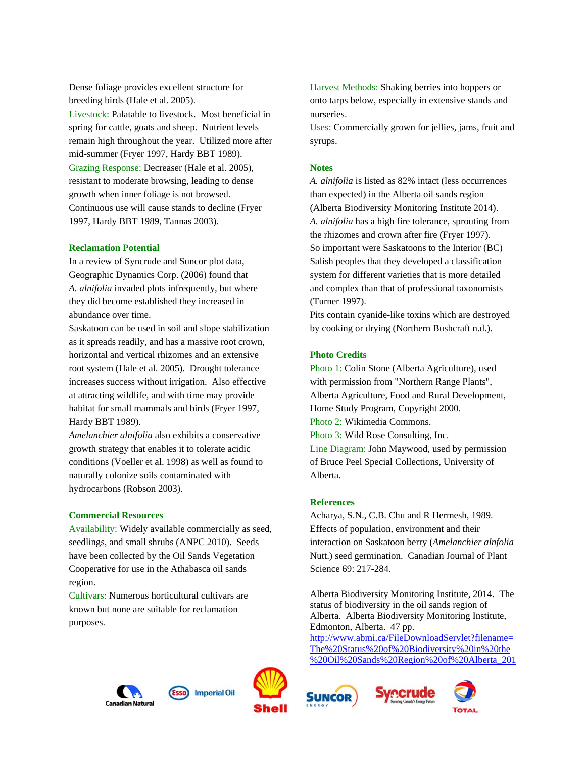Dense foliage provides excellent structure for breeding birds (Hale et al. 2005). Livestock: Palatable to livestock. Most beneficial in spring for cattle, goats and sheep. Nutrient levels remain high throughout the year. Utilized more after mid-summer (Fryer 1997, Hardy BBT 1989). Grazing Response: Decreaser (Hale et al. 2005), resistant to moderate browsing, leading to dense growth when inner foliage is not browsed. Continuous use will cause stands to decline (Fryer 1997, Hardy BBT 1989, Tannas 2003).

# **Reclamation Potential**

In a review of Syncrude and Suncor plot data, Geographic Dynamics Corp. (2006) found that *A. alnifolia* invaded plots infrequently, but where they did become established they increased in abundance over time.

Saskatoon can be used in soil and slope stabilization as it spreads readily, and has a massive root crown, horizontal and vertical rhizomes and an extensive root system (Hale et al. 2005). Drought tolerance increases success without irrigation. Also effective at attracting wildlife, and with time may provide habitat for small mammals and birds (Fryer 1997, Hardy BBT 1989).

*Amelanchier alnifolia* also exhibits a conservative growth strategy that enables it to tolerate acidic conditions (Voeller et al. 1998) as well as found to naturally colonize soils contaminated with hydrocarbons (Robson 2003).

## **Commercial Resources**

Availability: Widely available commercially as seed, seedlings, and small shrubs (ANPC 2010). Seeds have been collected by the Oil Sands Vegetation Cooperative for use in the Athabasca oil sands region.

Cultivars: Numerous horticultural cultivars are known but none are suitable for reclamation purposes.

Harvest Methods: Shaking berries into hoppers or onto tarps below, especially in extensive stands and nurseries.

Uses: Commercially grown for jellies, jams, fruit and syrups.

#### **Notes**

*A. alnifolia* is listed as 82% intact (less occurrences than expected) in the Alberta oil sands region (Alberta Biodiversity Monitoring Institute 2014). *A. alnifolia* has a high fire tolerance, sprouting from the rhizomes and crown after fire (Fryer 1997). So important were Saskatoons to the Interior (BC) Salish peoples that they developed a classification system for different varieties that is more detailed and complex than that of professional taxonomists (Turner 1997).

Pits contain cyanide-like toxins which are destroyed by cooking or drying (Northern Bushcraft n.d.).

#### **Photo Credits**

Photo 1: Colin Stone (Alberta Agriculture), used with permission from "Northern Range Plants", Alberta Agriculture, Food and Rural Development, Home Study Program, Copyright 2000. Photo 2: Wikimedia Commons. Photo 3: Wild Rose Consulting, Inc. Line Diagram: John Maywood, used by permission of Bruce Peel Special Collections, University of Alberta.

### **References**

Acharya, S.N., C.B. Chu and R Hermesh, 1989. Effects of population, environment and their interaction on Saskatoon berry (*Amelanchier alnfolia* Nutt.) seed germination. Canadian Journal of Plant Science 69: 217-284.

Alberta Biodiversity Monitoring Institute, 2014. The status of biodiversity in the oil sands region of Alberta. Alberta Biodiversity Monitoring Institute, Edmonton, Alberta. 47 pp. http://www.abmi.ca/FileDownloadServlet?filename= The%20Status%20of%20Biodiversity%20in%20the %20Oil%20Sands%20Region%20of%20Alberta\_201





**Imperial Oil** 



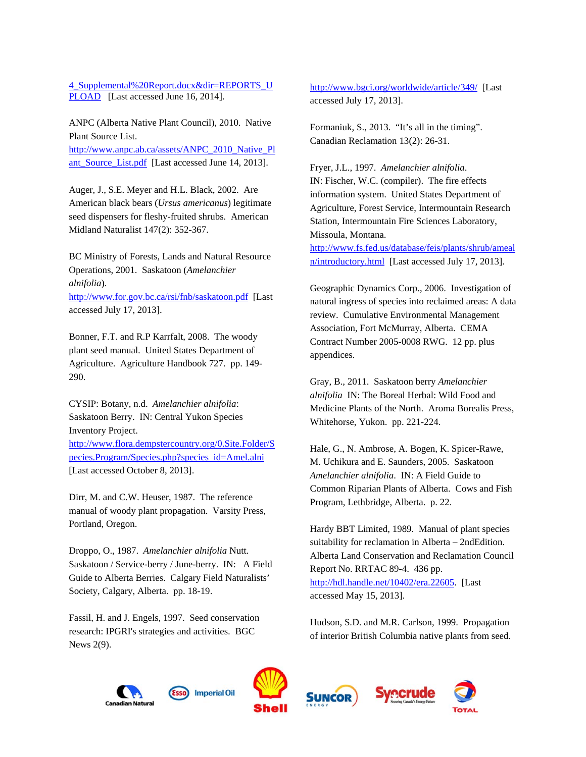4 Supplemental%20Report.docx&dir=REPORTS\_U PLOAD[Last accessed June 16, 2014].

ANPC (Alberta Native Plant Council), 2010. Native Plant Source List. http://www.anpc.ab.ca/assets/ANPC\_2010\_Native\_Pl

ant\_Source\_List.pdf [Last accessed June 14, 2013].

Auger, J., S.E. Meyer and H.L. Black, 2002. Are American black bears (*Ursus americanus*) legitimate seed dispensers for fleshy-fruited shrubs. American Midland Naturalist 147(2): 352-367.

BC Ministry of Forests, Lands and Natural Resource Operations, 2001. Saskatoon (*Amelanchier alnifolia*).

http://www.for.gov.bc.ca/rsi/fnb/saskatoon.pdf [Last accessed July 17, 2013].

Bonner, F.T. and R.P Karrfalt, 2008. The woody plant seed manual. United States Department of Agriculture. Agriculture Handbook 727. pp. 149- 290.

CYSIP: Botany, n.d. *Amelanchier alnifolia*: Saskatoon Berry. IN: Central Yukon Species Inventory Project. http://www.flora.dempstercountry.org/0.Site.Folder/S

pecies.Program/Species.php?species\_id=Amel.alni [Last accessed October 8, 2013].

Dirr, M. and C.W. Heuser, 1987. The reference manual of woody plant propagation. Varsity Press, Portland, Oregon.

Droppo, O., 1987. *Amelanchier alnifolia* Nutt. Saskatoon / Service-berry / June-berry. IN: A Field Guide to Alberta Berries. Calgary Field Naturalists' Society, Calgary, Alberta. pp. 18-19.

Fassil, H. and J. Engels, 1997. Seed conservation research: IPGRI's strategies and activities. BGC News 2(9).

http://www.bgci.org/worldwide/article/349/ [Last accessed July 17, 2013].

Formaniuk, S., 2013. "It's all in the timing". Canadian Reclamation 13(2): 26-31.

Fryer, J.L., 1997. *Amelanchier alnifolia*.

IN: Fischer, W.C. (compiler). The fire effects information system. United States Department of Agriculture, Forest Service, Intermountain Research Station, Intermountain Fire Sciences Laboratory, Missoula, Montana.

http://www.fs.fed.us/database/feis/plants/shrub/ameal n/introductory.html [Last accessed July 17, 2013].

Geographic Dynamics Corp., 2006. Investigation of natural ingress of species into reclaimed areas: A data review. Cumulative Environmental Management Association, Fort McMurray, Alberta. CEMA Contract Number 2005-0008 RWG. 12 pp. plus appendices.

Gray, B., 2011. Saskatoon berry *Amelanchier alnifolia* IN: The Boreal Herbal: Wild Food and Medicine Plants of the North. Aroma Borealis Press, Whitehorse, Yukon. pp. 221-224.

Hale, G., N. Ambrose, A. Bogen, K. Spicer-Rawe, M. Uchikura and E. Saunders, 2005. Saskatoon *Amelanchier alnifolia*. IN: A Field Guide to Common Riparian Plants of Alberta. Cows and Fish Program, Lethbridge, Alberta. p. 22.

Hardy BBT Limited, 1989. Manual of plant species suitability for reclamation in Alberta – 2ndEdition. Alberta Land Conservation and Reclamation Council Report No. RRTAC 89-4. 436 pp. http://hdl.handle.net/10402/era.22605. [Last accessed May 15, 2013].

Hudson, S.D. and M.R. Carlson, 1999. Propagation of interior British Columbia native plants from seed.









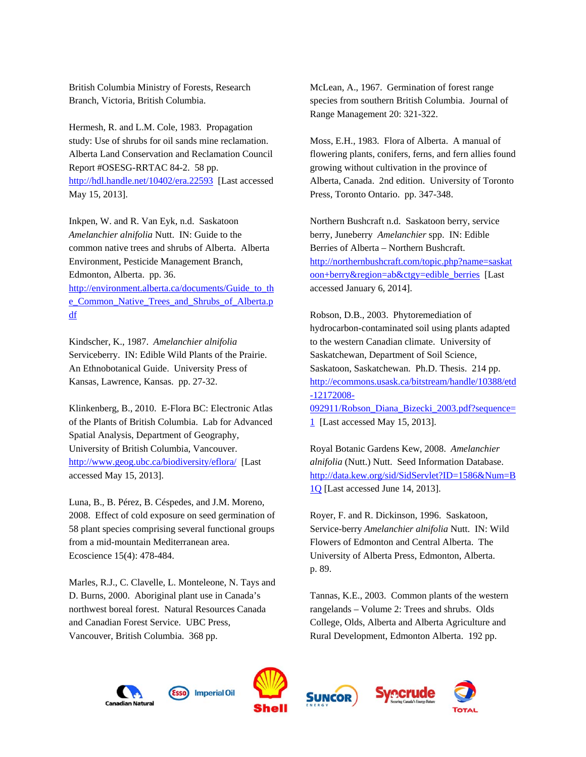British Columbia Ministry of Forests, Research Branch, Victoria, British Columbia.

Hermesh, R. and L.M. Cole, 1983. Propagation study: Use of shrubs for oil sands mine reclamation. Alberta Land Conservation and Reclamation Council Report #OSESG-RRTAC 84-2. 58 pp. http://hdl.handle.net/10402/era.22593 [Last accessed May 15, 2013].

Inkpen, W. and R. Van Eyk, n.d. Saskatoon *Amelanchier alnifolia* Nutt. IN: Guide to the common native trees and shrubs of Alberta. Alberta Environment, Pesticide Management Branch, Edmonton, Alberta. pp. 36. http://environment.alberta.ca/documents/Guide\_to\_th e\_Common\_Native\_Trees\_and\_Shrubs\_of\_Alberta.p df

Kindscher, K., 1987. *Amelanchier alnifolia* Serviceberry. IN: Edible Wild Plants of the Prairie. An Ethnobotanical Guide. University Press of Kansas, Lawrence, Kansas. pp. 27-32.

Klinkenberg, B., 2010. E-Flora BC: Electronic Atlas of the Plants of British Columbia. Lab for Advanced Spatial Analysis, Department of Geography, University of British Columbia, Vancouver. http://www.geog.ubc.ca/biodiversity/eflora/ [Last accessed May 15, 2013].

Luna, B., B. Pérez, B. Céspedes, and J.M. Moreno, 2008. Effect of cold exposure on seed germination of 58 plant species comprising several functional groups from a mid-mountain Mediterranean area. Ecoscience 15(4): 478-484.

Marles, R.J., C. Clavelle, L. Monteleone, N. Tays and D. Burns, 2000. Aboriginal plant use in Canada's northwest boreal forest. Natural Resources Canada and Canadian Forest Service. UBC Press, Vancouver, British Columbia. 368 pp.

McLean, A., 1967. Germination of forest range species from southern British Columbia. Journal of Range Management 20: 321-322.

Moss, E.H., 1983. Flora of Alberta. A manual of flowering plants, conifers, ferns, and fern allies found growing without cultivation in the province of Alberta, Canada. 2nd edition. University of Toronto Press, Toronto Ontario. pp. 347-348.

Northern Bushcraft n.d. Saskatoon berry, service berry, Juneberry *Amelanchier* spp. IN: Edible Berries of Alberta – Northern Bushcraft. http://northernbushcraft.com/topic.php?name=saskat oon+berry&region=ab&ctgy=edible\_berries [Last accessed January 6, 2014].

Robson, D.B., 2003. Phytoremediation of hydrocarbon-contaminated soil using plants adapted to the western Canadian climate. University of Saskatchewan, Department of Soil Science, Saskatoon, Saskatchewan. Ph.D. Thesis. 214 pp. http://ecommons.usask.ca/bitstream/handle/10388/etd -12172008- 092911/Robson\_Diana\_Bizecki\_2003.pdf?sequence=

1 [Last accessed May 15, 2013].

Royal Botanic Gardens Kew, 2008. *Amelanchier alnifolia* (Nutt.) Nutt. Seed Information Database. http://data.kew.org/sid/SidServlet?ID=1586&Num=B 1Q [Last accessed June 14, 2013].

Royer, F. and R. Dickinson, 1996. Saskatoon, Service-berry *Amelanchier alnifolia* Nutt. IN: Wild Flowers of Edmonton and Central Alberta. The University of Alberta Press, Edmonton, Alberta. p. 89.

Tannas, K.E., 2003. Common plants of the western rangelands – Volume 2: Trees and shrubs. Olds College, Olds, Alberta and Alberta Agriculture and Rural Development, Edmonton Alberta. 192 pp.